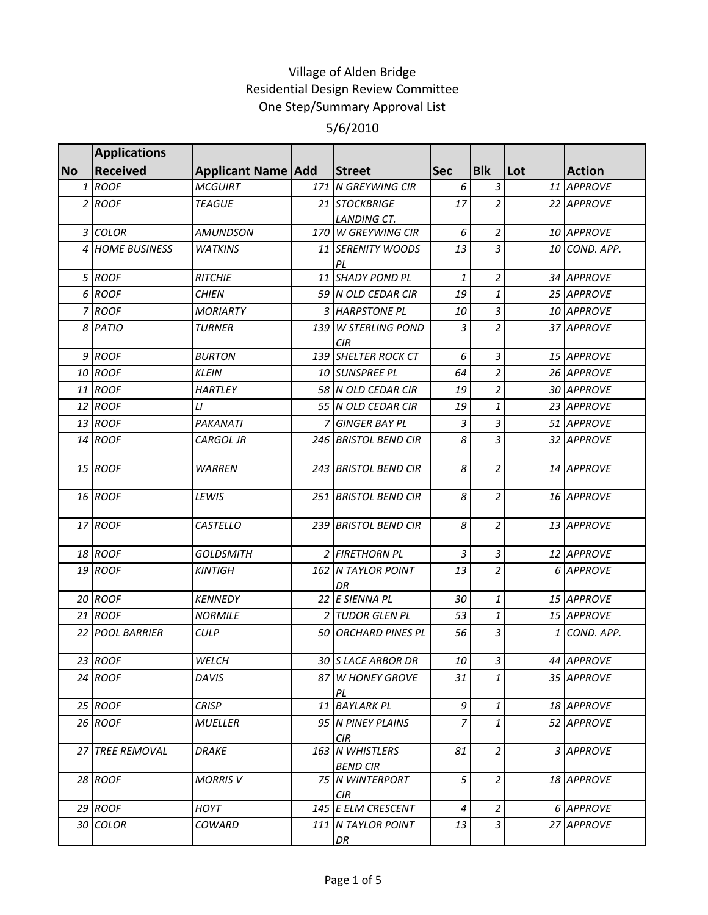|           | <b>Applications</b>    |                           |                                     |                |                |     |               |
|-----------|------------------------|---------------------------|-------------------------------------|----------------|----------------|-----|---------------|
| <b>No</b> | <b>Received</b>        | <b>Applicant Name Add</b> | <b>Street</b>                       | <b>Sec</b>     | <b>Blk</b>     | Lot | <b>Action</b> |
|           | 1 ROOF                 | <b>MCGUIRT</b>            | 171 N GREYWING CIR                  | 6              | $\mathfrak{Z}$ |     | 11 APPROVE    |
|           | 2 ROOF                 | <b>TEAGUE</b>             | 21 STOCKBRIGE                       | 17             | $\overline{a}$ |     | 22 APPROVE    |
|           |                        |                           | LANDING CT.                         |                |                |     |               |
|           | 3 COLOR                | <b>AMUNDSON</b>           | 170 W GREYWING CIR                  | 6              | $\overline{a}$ |     | 10 APPROVE    |
|           | 4 HOME BUSINESS        | <b>WATKINS</b>            | 11 SERENITY WOODS<br>PL             | 13             | $\overline{3}$ |     | 10 COND. APP. |
|           | 5 ROOF                 | <b>RITCHIE</b>            | 11 SHADY POND PL                    | 1              | $\overline{a}$ |     | 34 APPROVE    |
|           | 6 ROOF                 | <b>CHIEN</b>              | 59 N OLD CEDAR CIR                  | 19             | $\mathbf{1}$   |     | 25 APPROVE    |
|           | 7 ROOF                 | <b>MORIARTY</b>           | 3 HARPSTONE PL                      | 10             | $\overline{3}$ |     | 10 APPROVE    |
|           | 8 PATIO                | <b>TURNER</b>             | 139 W STERLING POND<br>CIR          | 3              | $\overline{a}$ |     | 37 APPROVE    |
|           | 9 ROOF                 | <b>BURTON</b>             | 139 SHELTER ROCK CT                 | 6              | $\overline{3}$ |     | 15 APPROVE    |
|           | 10 ROOF                | <b>KLEIN</b>              | 10 SUNSPREE PL                      | 64             | $\overline{2}$ |     | 26 APPROVE    |
|           | 11 ROOF                | <b>HARTLEY</b>            | 58 N OLD CEDAR CIR                  | 19             | $\overline{2}$ |     | 30 APPROVE    |
|           | 12 ROOF                | LI                        | 55 N OLD CEDAR CIR                  | 19             | $\mathbf{1}$   |     | 23 APPROVE    |
|           | 13 ROOF                | PAKANATI                  | 7 GINGER BAY PL                     | 3              | $\overline{3}$ |     | 51 APPROVE    |
|           | 14 ROOF                | CARGOL JR                 | 246 BRISTOL BEND CIR                | 8              | $\overline{3}$ |     | 32 APPROVE    |
|           | 15 ROOF                | <b>WARREN</b>             | 243 BRISTOL BEND CIR                | 8              | $\overline{a}$ |     | 14 APPROVE    |
|           | <b>16 ROOF</b>         | LEWIS                     | 251 BRISTOL BEND CIR                | 8              | $\overline{a}$ |     | 16 APPROVE    |
|           | 17 ROOF                | CASTELLO                  | 239 BRISTOL BEND CIR                | 8              | $\overline{2}$ |     | 13 APPROVE    |
|           | <b>18 ROOF</b>         | <b>GOLDSMITH</b>          | 2 FIRETHORN PL                      | $\overline{3}$ | $\overline{3}$ |     | 12 APPROVE    |
|           | 19 ROOF                | <b>KINTIGH</b>            | <b>162 N TAYLOR POINT</b><br>DR     | 13             | $\overline{2}$ |     | 6 APPROVE     |
|           | 20 ROOF                | <b>KENNEDY</b>            | 22 E SIENNA PL                      | 30             | $\mathbf{1}$   |     | 15 APPROVE    |
|           | 21 ROOF                | <b>NORMILE</b>            | 2 TUDOR GLEN PL                     | 53             | $\mathbf{1}$   |     | 15 APPROVE    |
|           | 22 POOL BARRIER        | <b>CULP</b>               | 50 ORCHARD PINES PL                 | 56             | 3              | 1   | COND. APP.    |
|           | 23 ROOF                | WELCH                     | 30 S LACE ARBOR DR                  | 10             | $3\vert$       |     | 44 APPROVE    |
|           | 24 ROOF                | <b>DAVIS</b>              | 87 W HONEY GROVE<br>PL              | 31             | $\mathbf{1}$   |     | 35 APPROVE    |
|           | 25 ROOF                | <b>CRISP</b>              | 11 BAYLARK PL                       | 9              | $\mathbf{1}$   |     | 18 APPROVE    |
|           | 26 ROOF                | MUELLER                   | 95 N PINEY PLAINS<br>CIR            | 7              | $\mathbf{1}$   |     | 52 APPROVE    |
|           | <b>27 TREE REMOVAL</b> | DRAKE                     | 163 IN WHISTLERS<br><b>BEND CIR</b> | 81             | $\overline{a}$ |     | 3 APPROVE     |
|           | 28 ROOF                | <b>MORRIS V</b>           | 75 N WINTERPORT<br><b>CIR</b>       | 5              | $\overline{2}$ |     | 18 APPROVE    |
|           | 29 ROOF                | HOYT                      | 145 E ELM CRESCENT                  | 4              | $\overline{a}$ |     | 6 APPROVE     |
|           | 30 COLOR               | COWARD                    | 111 N TAYLOR POINT<br>DR            | 13             | $\overline{3}$ |     | 27 APPROVE    |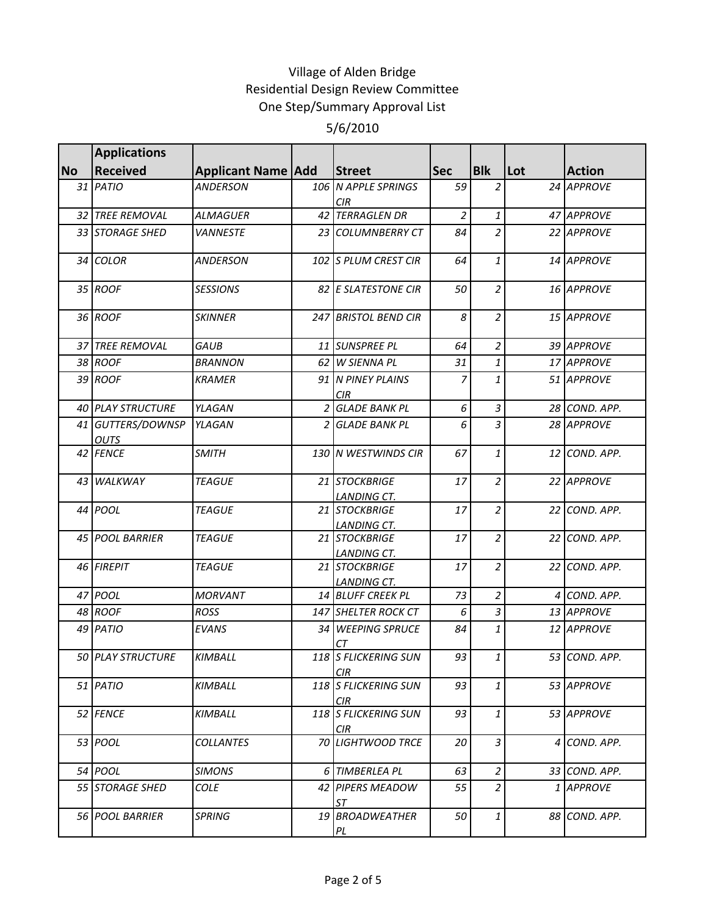|           | <b>Applications</b>              |                           |                |                                     |                |                |     |               |
|-----------|----------------------------------|---------------------------|----------------|-------------------------------------|----------------|----------------|-----|---------------|
| <b>No</b> | <b>Received</b>                  | <b>Applicant Name Add</b> |                | <b>Street</b>                       | <b>Sec</b>     | <b>Blk</b>     | Lot | <b>Action</b> |
|           | 31 PATIO                         | <b>ANDERSON</b>           |                | 106 N APPLE SPRINGS<br><b>CIR</b>   | 59             | $\overline{2}$ |     | 24 APPROVE    |
|           | 32 TREE REMOVAL                  | <b>ALMAGUER</b>           |                | 42 TERRAGLEN DR                     | $\overline{2}$ | $\mathbf{1}$   |     | 47 APPROVE    |
|           | 33 STORAGE SHED                  | <b>VANNESTE</b>           |                | 23 COLUMNBERRY CT                   | 84             | $\overline{2}$ |     | 22 APPROVE    |
|           | 34 COLOR                         | <b>ANDERSON</b>           |                | 102 S PLUM CREST CIR                | 64             | 1              |     | 14 APPROVE    |
|           | 35 ROOF                          | <b>SESSIONS</b>           |                | 82 E SLATESTONE CIR                 | 50             | $\overline{2}$ |     | 16 APPROVE    |
|           | 36 ROOF                          | <b>SKINNER</b>            |                | 247 BRISTOL BEND CIR                | 8              | $\overline{2}$ |     | 15 APPROVE    |
|           | 37 TREE REMOVAL                  | <b>GAUB</b>               |                | 11 SUNSPREE PL                      | 64             | $\overline{c}$ |     | 39 APPROVE    |
|           | 38 ROOF                          | <b>BRANNON</b>            |                | 62 W SIENNA PL                      | 31             | 1              |     | 17 APPROVE    |
|           | 39 ROOF                          | <b>KRAMER</b>             |                | 91 N PINEY PLAINS<br><b>CIR</b>     | $\overline{7}$ | 1              |     | 51 APPROVE    |
|           | <b>40 PLAY STRUCTURE</b>         | YLAGAN                    |                | 2 GLADE BANK PL                     | 6              | $\mathfrak{Z}$ |     | 28 COND. APP. |
|           | 41 GUTTERS/DOWNSP<br><b>OUTS</b> | YLAGAN                    | $\overline{2}$ | <b>GLADE BANK PL</b>                | 6              | 3              |     | 28 APPROVE    |
|           | 42 FENCE                         | <b>SMITH</b>              |                | 130 N WESTWINDS CIR                 | 67             | 1              |     | 12 COND. APP. |
|           | 43 WALKWAY                       | <b>TEAGUE</b>             |                | 21 STOCKBRIGE<br>LANDING CT.        | 17             | $\overline{2}$ |     | 22 APPROVE    |
|           | 44 POOL                          | <b>TEAGUE</b>             |                | 21 STOCKBRIGE<br><b>LANDING CT.</b> | 17             | $\overline{a}$ |     | 22 COND. APP. |
|           | <b>45 POOL BARRIER</b>           | <b>TEAGUE</b>             |                | 21 STOCKBRIGE<br>LANDING CT.        | 17             | $\overline{c}$ |     | 22 COND. APP. |
|           | 46 FIREPIT                       | <b>TEAGUE</b>             |                | 21 STOCKBRIGE<br>LANDING CT.        | 17             | $\overline{2}$ |     | 22 COND. APP. |
|           | 47 POOL                          | <b>MORVANT</b>            |                | 14 BLUFF CREEK PL                   | 73             | $\overline{c}$ |     | 4 COND. APP.  |
|           | 48 ROOF                          | <b>ROSS</b>               |                | 147 SHELTER ROCK CT                 | 6              | 3              |     | 13 APPROVE    |
|           | 49 PATIO                         | <b>EVANS</b>              |                | 34 WEEPING SPRUCE<br>CТ             | 84             | $\mathbf{1}$   |     | 12 APPROVE    |
|           | <b>50 PLAY STRUCTURE</b>         | <b>KIMBALL</b>            |                | 118 S FLICKERING SUN<br>CIR         | 93             | $\mathbf{1}$   |     | 53 COND. APP. |
|           | 51 PATIO                         | <b>KIMBALL</b>            |                | 118 S FLICKERING SUN<br>CIR.        | 93             | 1              |     | 53 APPROVE    |
|           | 52 FENCE                         | <b>KIMBALL</b>            |                | 118 S FLICKERING SUN<br>CIR         | 93             | $\mathbf{1}$   |     | 53 APPROVE    |
|           | 53 <i>POOL</i>                   | <b>COLLANTES</b>          |                | 70 LIGHTWOOD TRCE                   | 20             | 3              |     | 4 COND. APP.  |
|           | 54 POOL                          | <b>SIMONS</b>             |                | 6 TIMBERLEA PL                      | 63             | $\overline{2}$ |     | 33 COND. APP. |
|           | 55 STORAGE SHED                  | <b>COLE</b>               |                | 42 PIPERS MEADOW<br><b>ST</b>       | 55             | $\overline{2}$ |     | 1 APPROVE     |
|           | 56 POOL BARRIER                  | <b>SPRING</b>             |                | 19 BROADWEATHER<br>PL               | 50             | $\mathbf{1}$   |     | 88 COND. APP. |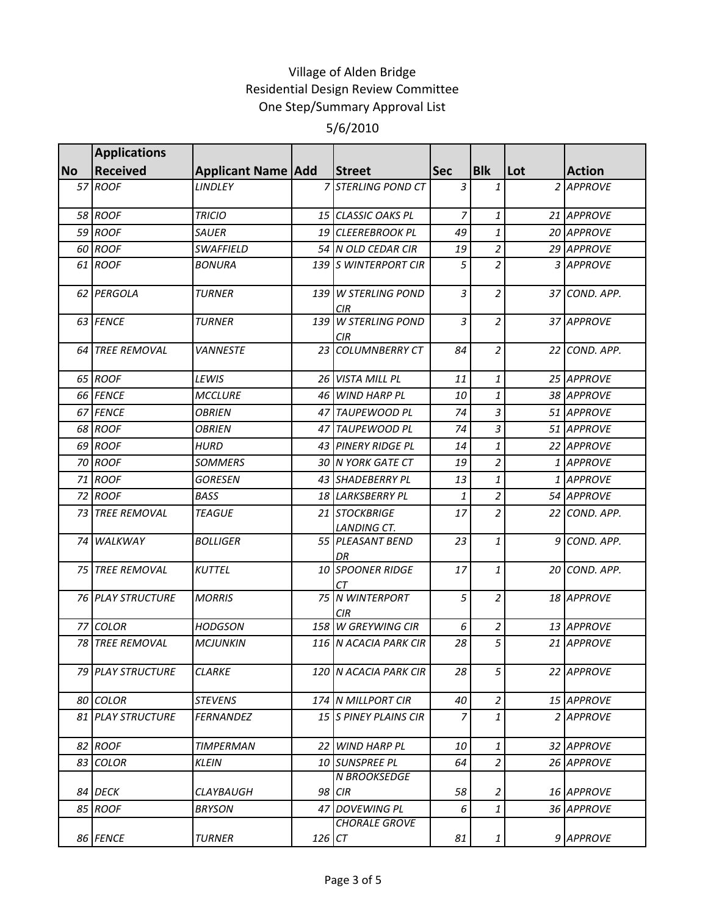|           | <b>Applications</b>      |                           |        |                                         |                |                |     |               |
|-----------|--------------------------|---------------------------|--------|-----------------------------------------|----------------|----------------|-----|---------------|
| <b>No</b> | <b>Received</b>          | <b>Applicant Name Add</b> |        | <b>Street</b>                           | <b>Sec</b>     | <b>Blk</b>     | Lot | <b>Action</b> |
|           | 57 ROOF                  | LINDLEY                   |        | 7 STERLING POND CT                      | $\mathfrak{Z}$ | $\mathbf{1}$   |     | 2 APPROVE     |
|           | <b>58 ROOF</b>           | <b>TRICIO</b>             |        | 15 CLASSIC OAKS PL                      | $\overline{7}$ | $\mathbf{1}$   |     | 21 APPROVE    |
|           | 59 ROOF                  | <b>SAUER</b>              |        | 19 CLEEREBROOK PL                       | 49             | $\mathbf{1}$   |     | 20 APPROVE    |
|           | 60 ROOF                  | <b>SWAFFIELD</b>          |        | 54 N OLD CEDAR CIR                      | 19             | $\overline{a}$ |     | 29 APPROVE    |
|           | 61 ROOF                  | <i>BONURA</i>             |        | 139 S WINTERPORT CIR                    | 5              | $\overline{a}$ |     | 3 APPROVE     |
|           | 62 PERGOLA               | <b>TURNER</b>             |        | 139 W STERLING POND<br><b>CIR</b>       | 3              | $\overline{a}$ |     | 37 COND. APP. |
|           | 63 FENCE                 | <b>TURNER</b>             |        | 139 W STERLING POND<br>CIR <sub>.</sub> | 3              | $\overline{2}$ |     | 37 APPROVE    |
|           | 64 TREE REMOVAL          | <b>VANNESTE</b>           |        | 23 COLUMNBERRY CT                       | 84             | $\overline{2}$ |     | 22 COND. APP. |
|           | 65 ROOF                  | LEWIS                     |        | 26 VISTA MILL PL                        | 11             | $\mathbf{1}$   |     | 25 APPROVE    |
|           | 66 FENCE                 | <b>MCCLURE</b>            |        | 46 WIND HARP PL                         | 10             | $\mathbf{1}$   |     | 38 APPROVE    |
|           | 67 FENCE                 | <b>OBRIEN</b>             |        | 47 TAUPEWOOD PL                         | 74             | $\overline{3}$ |     | 51 APPROVE    |
|           | 68 ROOF                  | <b>OBRIEN</b>             |        | 47 TAUPEWOOD PL                         | 74             | $\overline{3}$ |     | 51 APPROVE    |
|           | 69 ROOF                  | HURD                      |        | 43 PINERY RIDGE PL                      | 14             | $\mathbf{1}$   |     | 22 APPROVE    |
|           | 70 ROOF                  | <b>SOMMERS</b>            |        | 30 N YORK GATE CT                       | 19             | $\overline{2}$ |     | 1 APPROVE     |
|           | 71 ROOF                  | <b>GORESEN</b>            |        | 43 SHADEBERRY PL                        | 13             | $\mathbf{1}$   |     | 1 APPROVE     |
|           | 72 ROOF                  | <b>BASS</b>               |        | 18 LARKSBERRY PL                        | 1              | $\overline{a}$ |     | 54 APPROVE    |
|           | <b>73 TREE REMOVAL</b>   | <b>TEAGUE</b>             |        | 21 STOCKBRIGE<br><b>LANDING CT.</b>     | 17             | $\overline{a}$ |     | 22 COND. APP. |
|           | 74 WALKWAY               | <b>BOLLIGER</b>           |        | 55 PLEASANT BEND<br>DR                  | 23             | $\mathbf{1}$   |     | 9 COND. APP.  |
|           | 75 TREE REMOVAL          | <b>KUTTEL</b>             |        | 10 SPOONER RIDGE<br>СT                  | 17             | $\mathbf{1}$   |     | 20 COND. APP. |
|           | <b>76 PLAY STRUCTURE</b> | <b>MORRIS</b>             |        | 75 N WINTERPORT<br>CIR                  | 5              | $\overline{a}$ |     | 18 APPROVE    |
|           | 77 COLOR                 | <b>HODGSON</b>            |        | 158 W GREYWING CIR                      | 6              | $\overline{a}$ |     | 13 APPROVE    |
|           | <b>78 TREE REMOVAL</b>   | <b>MCJUNKIN</b>           |        | 116 N ACACIA PARK CIR                   | 28             | 5              |     | 21 APPROVE    |
|           | 79 PLAY STRUCTURE        | <b>CLARKE</b>             |        | 120 N ACACIA PARK CIR                   | 28             | 5              |     | 22 APPROVE    |
|           | 80 COLOR                 | <b>STEVENS</b>            |        | 174 N MILLPORT CIR                      | 40             | 2 <sup>1</sup> |     | 15 APPROVE    |
|           | <b>81 PLAY STRUCTURE</b> | <b>FERNANDEZ</b>          |        | 15 S PINEY PLAINS CIR                   | 7              | $\mathbf{1}$   |     | 2 APPROVE     |
|           | 82 ROOF                  | <b>TIMPERMAN</b>          |        | 22 WIND HARP PL                         | 10             | $\mathbf{1}$   |     | 32 APPROVE    |
|           | 83 COLOR                 | <b>KLEIN</b>              |        | 10 SUNSPREE PL                          | 64             | $\overline{a}$ |     | 26 APPROVE    |
|           | 84 DECK                  | CLAYBAUGH                 |        | <b>N BROOKSEDGE</b><br>98 CIR           | 58             | 2              |     | 16 APPROVE    |
|           | 85 ROOF                  | <b>BRYSON</b>             |        | 47 DOVEWING PL                          | 6              | $\mathbf{1}$   |     | 36 APPROVE    |
|           | 86 FENCE                 | <b>TURNER</b>             | 126 CT | <b>CHORALE GROVE</b>                    | 81             | $\mathbf{1}$   |     | 9 APPROVE     |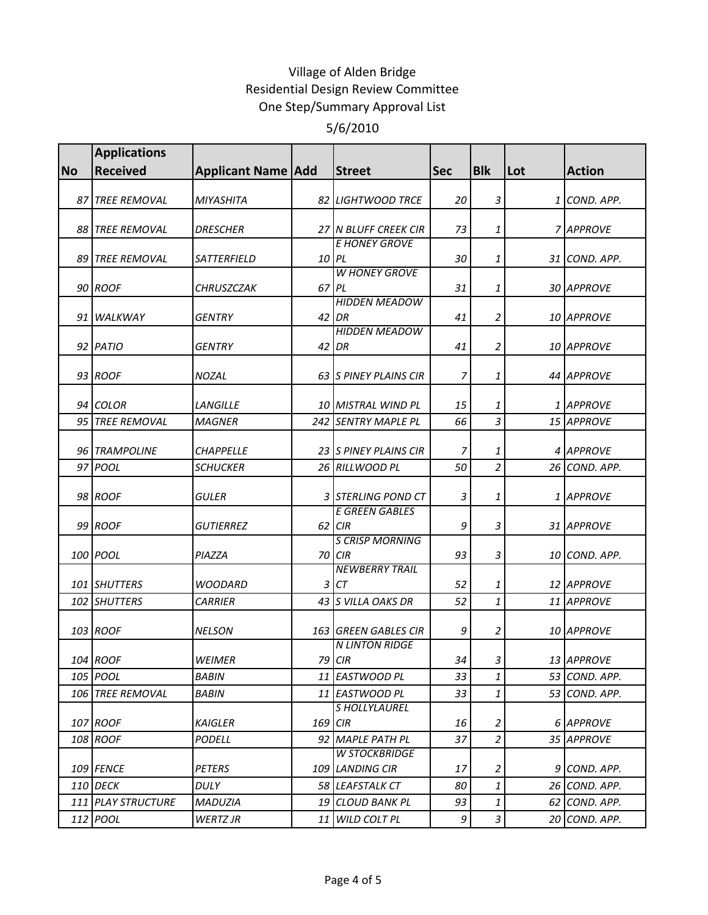|           | <b>Applications</b> |                             |       |                                         |            |                |     |               |
|-----------|---------------------|-----------------------------|-------|-----------------------------------------|------------|----------------|-----|---------------|
| <b>No</b> | <b>Received</b>     | <b>Applicant Name   Add</b> |       | <b>Street</b>                           | <b>Sec</b> | <b>Blk</b>     | Lot | <b>Action</b> |
|           | 87 TREE REMOVAL     | <b>MIYASHITA</b>            |       | 82 LIGHTWOOD TRCE                       | 20         | 3              |     | 1 COND. APP.  |
|           | 88 TREE REMOVAL     | <b>DRESCHER</b>             |       | 27 N BLUFF CREEK CIR                    | 73         | 1              |     | 7 APPROVE     |
|           | 89 TREE REMOVAL     | SATTERFIELD                 | 10 PL | <b>E HONEY GROVE</b>                    | 30         | $\mathbf{1}$   |     | 31 COND. APP. |
|           | 90 ROOF             | CHRUSZCZAK                  | 67    | <b>W HONEY GROVE</b><br>PL              | 31         | $\mathbf{1}$   |     | 30 APPROVE    |
|           | 91 WALKWAY          | <b>GENTRY</b>               |       | <b>HIDDEN MEADOW</b><br>$42$ DR         | 41         | $\overline{2}$ |     | 10 APPROVE    |
|           | 92 PATIO            | GENTRY                      |       | <b>HIDDEN MEADOW</b><br>$42$ DR         | 41         | $\overline{2}$ |     | 10 APPROVE    |
|           | 93 ROOF             | NOZAL                       |       | 63 S PINEY PLAINS CIR                   | 7          | 1              |     | 44 APPROVE    |
|           | 94 COLOR            | <b>LANGILLE</b>             |       | 10 MISTRAL WIND PL                      | 15         | 1              |     | 1 APPROVE     |
|           | 95 TREE REMOVAL     | <b>MAGNER</b>               |       | 242 SENTRY MAPLE PL                     | 66         | $\overline{3}$ |     | 15 APPROVE    |
|           | 96 TRAMPOLINE       | <b>CHAPPELLE</b>            |       | 23 S PINEY PLAINS CIR                   | 7          | 1              |     | 4 APPROVE     |
|           | 97 POOL             | <b>SCHUCKER</b>             |       | 26 RILLWOOD PL                          | 50         | $\overline{a}$ |     | 26 COND. APP. |
|           | 98 ROOF             | <b>GULER</b>                |       | 3 STERLING POND CT                      | 3          | 1              |     | 1 APPROVE     |
|           | 99 ROOF             | <b>GUTIERREZ</b>            |       | <b>E GREEN GABLES</b><br>62 CIR         | 9          | 3              |     | 31 APPROVE    |
|           | 100 POOL            | PIAZZA                      | 70    | <b>S CRISP MORNING</b><br>CIR           | 93         | 3              |     | 10 COND. APP. |
|           | 101 SHUTTERS        | <b>WOODARD</b>              | 3     | <b>NEWBERRY TRAIL</b><br>СT             | 52         | 1              |     | 12 APPROVE    |
|           | 102 SHUTTERS        | <b>CARRIER</b>              |       | 43 S VILLA OAKS DR                      | 52         | $\mathbf{1}$   |     | 11 APPROVE    |
|           | 103 ROOF            | <b>NELSON</b>               |       | 163 GREEN GABLES CIR                    | 9          | $\overline{2}$ |     | 10 APPROVE    |
|           | 104 ROOF            | WEIMER                      |       | <b>N LINTON RIDGE</b><br>79 CIR         | 34         | $\vert$ 3      |     | 13 APPROVE    |
|           | 105 POOL            | <b>BABIN</b>                |       | 11 EASTWOOD PL                          | 33         | $\mathbf{1}$   |     | 53 COND. APP. |
|           | 106 TREE REMOVAL    | BABIN                       |       | 11 EASTWOOD PL                          | 33         | $\mathbf{1}$   |     | 53 COND. APP. |
|           | 107 ROOF            | KAIGLER                     | 169   | <b>SHOLLYLAUREL</b><br><b>CIR</b>       | 16         | $\overline{a}$ |     | 6 APPROVE     |
|           | 108 ROOF            | <b>PODELL</b>               |       | 92 MAPLE PATH PL                        | 37         | $\overline{a}$ |     | 35 APPROVE    |
|           | 109 FENCE           | PETERS                      |       | <b>W STOCKBRIDGE</b><br>109 LANDING CIR | 17         | $\overline{2}$ |     | 9 COND. APP.  |
|           | 110 DECK            | DULY                        |       | 58 LEAFSTALK CT                         | 80         | $\mathbf{1}$   |     | 26 COND. APP. |
|           | 111 PLAY STRUCTURE  | <b>MADUZIA</b>              | 19    | <b>CLOUD BANK PL</b>                    | 93         | $\mathbf{1}$   |     | 62 COND. APP. |
|           | 112 POOL            | WERTZ JR                    |       | 11 WILD COLT PL                         | 9          | 3 <sup>1</sup> |     | 20 COND. APP. |